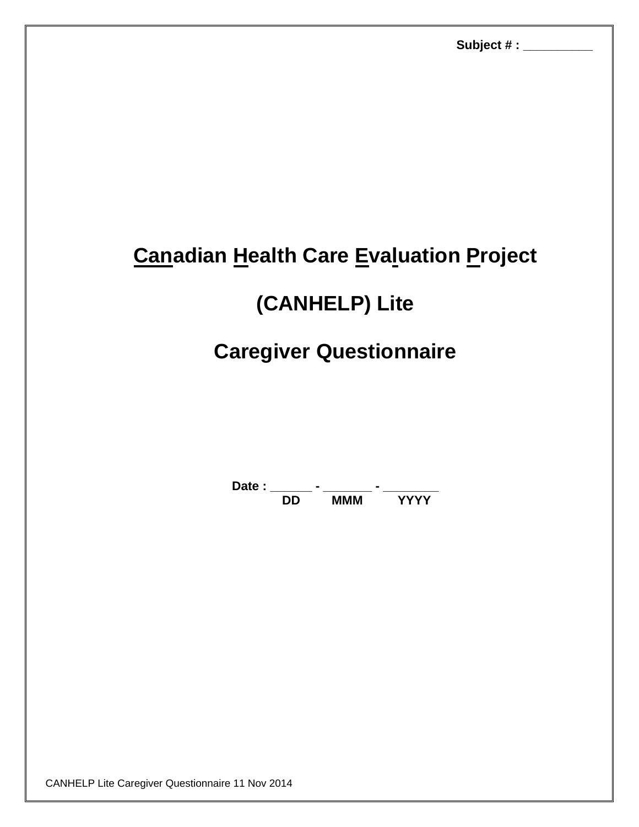## **Canadian Health Care Evaluation Project**

# **(CANHELP) Lite**

## **Caregiver Questionnaire**

Date : \_\_\_\_\_\_\_ - \_\_\_\_\_\_\_\_ - \_\_\_\_\_\_\_\_\_\_ **DD MMM YYYY**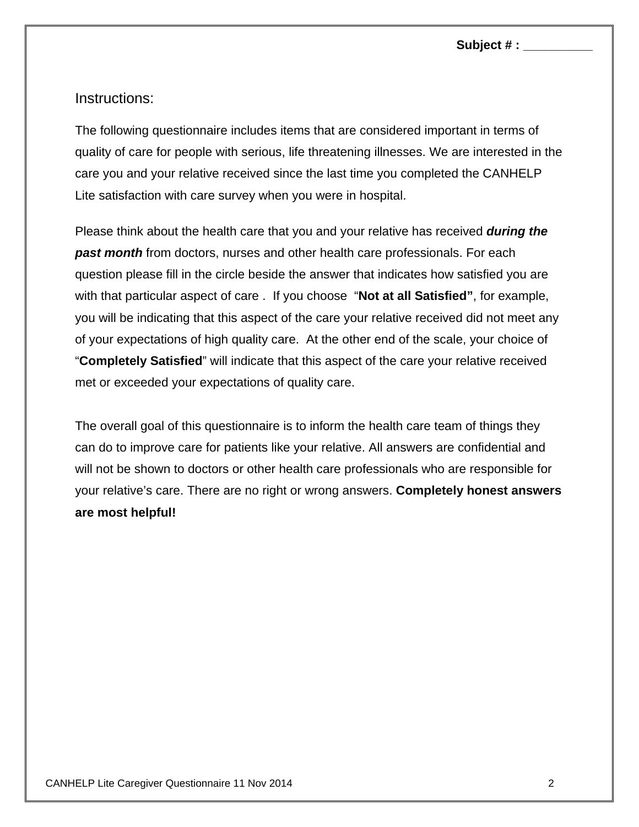## Instructions:

The following questionnaire includes items that are considered important in terms of quality of care for people with serious, life threatening illnesses. We are interested in the care you and your relative received since the last time you completed the CANHELP Lite satisfaction with care survey when you were in hospital.

Please think about the health care that you and your relative has received *during the past month* from doctors, nurses and other health care professionals. For each question please fill in the circle beside the answer that indicates how satisfied you are with that particular aspect of care . If you choose "**Not at all Satisfied"**, for example, you will be indicating that this aspect of the care your relative received did not meet any of your expectations of high quality care. At the other end of the scale, your choice of "**Completely Satisfied**" will indicate that this aspect of the care your relative received met or exceeded your expectations of quality care.

The overall goal of this questionnaire is to inform the health care team of things they can do to improve care for patients like your relative. All answers are confidential and will not be shown to doctors or other health care professionals who are responsible for your relative's care. There are no right or wrong answers. **Completely honest answers are most helpful!**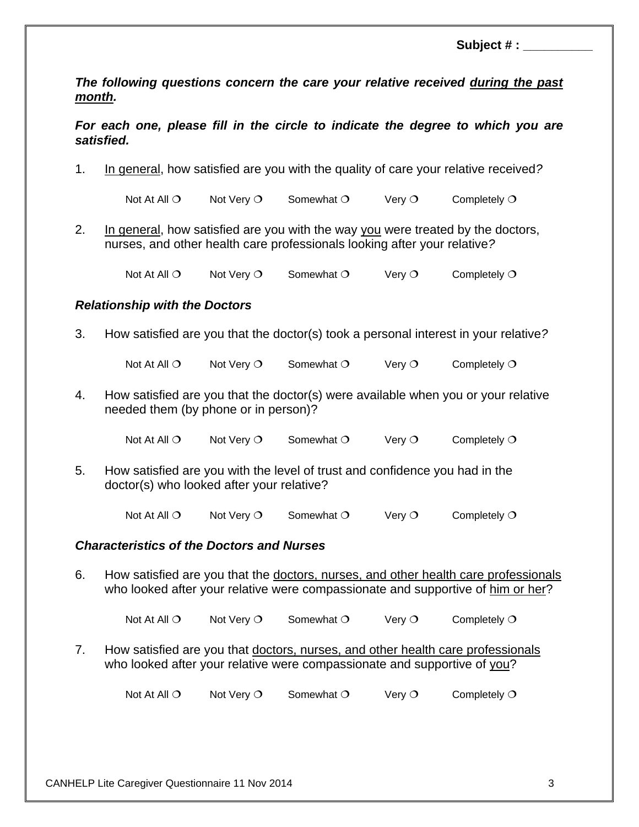**Subject # : \_** 

*The following questions concern the care your relative received during the past month.* 

*For each one, please fill in the circle to indicate the degree to which you are satisfied.* 

1. In general, how satisfied are you with the quality of care your relative received*?* 

Not At All  $\circ$  Not Very  $\circ$  Somewhat  $\circ$  Very  $\circ$  Completely  $\circ$ 

2. In general, how satisfied are you with the way you were treated by the doctors, nurses, and other health care professionals looking after your relative*?* 

Not At All  $\circ$  Not Very  $\circ$  Somewhat  $\circ$  Very  $\circ$  Completely  $\circ$ 

### *Relationship with the Doctors*

3. How satisfied are you that the doctor(s) took a personal interest in your relative*?* 

Not At All  $\circ$  Not Very  $\circ$  Somewhat  $\circ$  Very  $\circ$  Completely  $\circ$ 

4. How satisfied are you that the doctor(s) were available when you or your relative needed them (by phone or in person)?

Not At All  $O$  Not Very  $O$  Somewhat  $O$  Very  $O$  Completely  $O$ 

5. How satisfied are you with the level of trust and confidence you had in the doctor(s) who looked after your relative?

Not At All  $\circ$  Not Very  $\circ$  Somewhat  $\circ$  Very  $\circ$  Completely  $\circ$ 

#### *Characteristics of the Doctors and Nurses*

6. How satisfied are you that the doctors, nurses, and other health care professionals who looked after your relative were compassionate and supportive of him or her?

Not At All  $O$  Not Very  $O$  Somewhat  $O$  Very  $O$  Completely  $O$ 

7. How satisfied are you that doctors, nurses, and other health care professionals who looked after your relative were compassionate and supportive of you?

Not At All  $\overline{O}$  Not Very  $\overline{O}$  Somewhat  $\overline{O}$  Very  $\overline{O}$  Completely  $\overline{O}$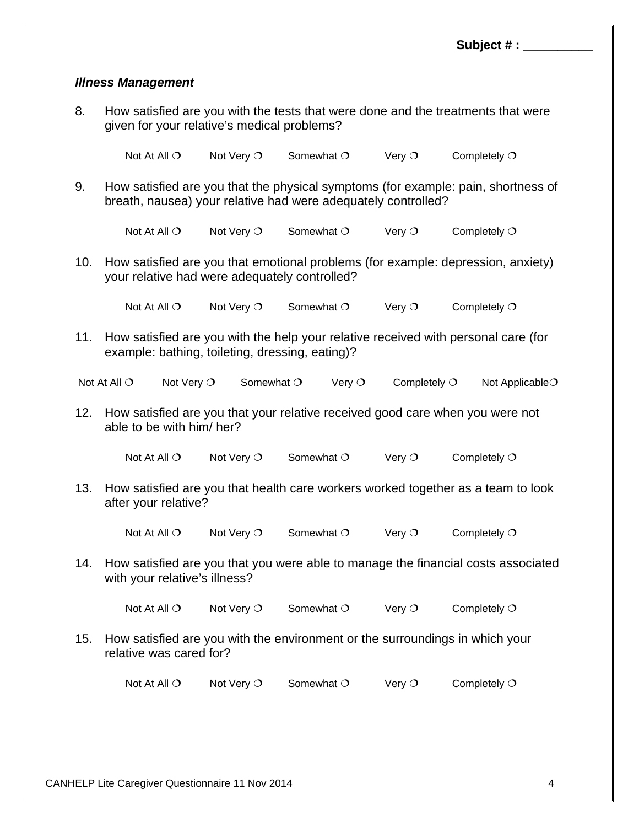### *Illness Management*

8. How satisfied are you with the tests that were done and the treatments that were given for your relative's medical problems?

Not At All  $\overline{O}$  Not Very  $\overline{O}$  Somewhat  $\overline{O}$  Very  $\overline{O}$  Completely  $\overline{O}$ 

9. How satisfied are you that the physical symptoms (for example: pain, shortness of breath, nausea) your relative had were adequately controlled?

Not At All  $\circ$  Not Very  $\circ$  Somewhat  $\circ$  Very  $\circ$  Completely  $\circ$ 

10. How satisfied are you that emotional problems (for example: depression, anxiety) your relative had were adequately controlled?

Not At All  $O$  Not Very  $O$  Somewhat  $O$  Very  $O$  Completely  $O$ 

11. How satisfied are you with the help your relative received with personal care (for example: bathing, toileting, dressing, eating)?

| Not At All $\bigcirc$ | Not Very $\circlearrowleft$ | Somewhat $\circ$ | Verv $\circlearrowleft$ | Completely $\circlearrowleft$ | Not Applicable $\bigcirc$ |
|-----------------------|-----------------------------|------------------|-------------------------|-------------------------------|---------------------------|
|-----------------------|-----------------------------|------------------|-------------------------|-------------------------------|---------------------------|

12. How satisfied are you that your relative received good care when you were not able to be with him/ her?

Not At All  $\circ$  Not Very  $\circ$  Somewhat  $\circ$  Very  $\circ$  Completely  $\circ$ 

13. How satisfied are you that health care workers worked together as a team to look after your relative?

Not At All  $\circ$  Not Very  $\circ$  Somewhat  $\circ$  Very  $\circ$  Completely  $\circ$ 

14. How satisfied are you that you were able to manage the financial costs associated with your relative's illness?

Not At All  $O$  Not Very  $O$  Somewhat  $O$  Very  $O$  Completely  $O$ 

15. How satisfied are you with the environment or the surroundings in which your relative was cared for?

Not At All  $\overline{O}$  Not Very  $\overline{O}$  Somewhat  $\overline{O}$  Very  $\overline{O}$  Completely  $\overline{O}$